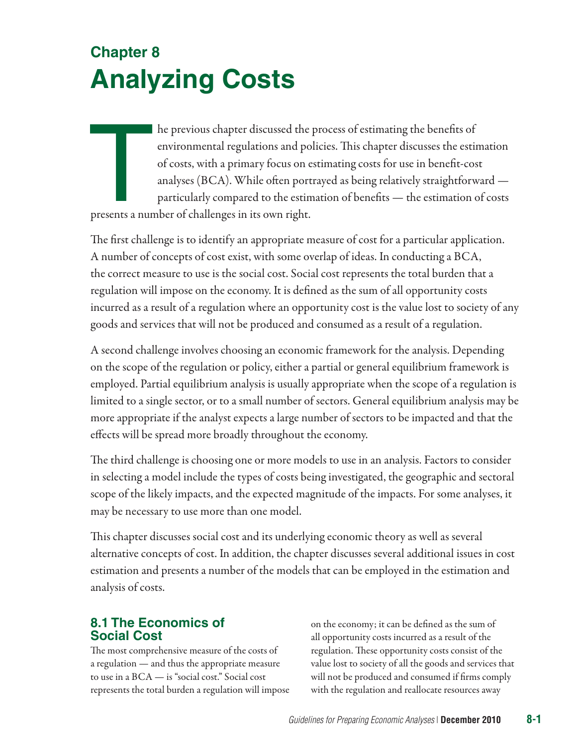# **Chapter 8 Analyzing Costs**

The previous chapter discussed the process of estimating the benefits of<br>environmental regulations and policies. This chapter discusses the estin<br>of costs, with a primary focus on estimating costs for use in benefit-cos<br>an environmental regulations and policies. This chapter discusses the estimation of costs, with a primary focus on estimating costs for use in benefit-cost analyses (BCA). While often portrayed as being relatively straightforward particularly compared to the estimation of benefits — the estimation of costs presents a number of challenges in its own right.

The first challenge is to identify an appropriate measure of cost for a particular application. A number of concepts of cost exist, with some overlap of ideas. In conducting a BCA, the correct measure to use is the social cost. Social cost represents the total burden that a regulation will impose on the economy. It is defined as the sum of all opportunity costs incurred as a result of a regulation where an opportunity cost is the value lost to society of any goods and services that will not be produced and consumed as a result of a regulation.

A second challenge involves choosing an economic framework for the analysis. Depending on the scope of the regulation or policy, either a partial or general equilibrium framework is employed. Partial equilibrium analysis is usually appropriate when the scope of a regulation is limited to a single sector, or to a small number of sectors. General equilibrium analysis may be more appropriate if the analyst expects a large number of sectors to be impacted and that the effects will be spread more broadly throughout the economy.

The third challenge is choosing one or more models to use in an analysis. Factors to consider in selecting a model include the types of costs being investigated, the geographic and sectoral scope of the likely impacts, and the expected magnitude of the impacts. For some analyses, it may be necessary to use more than one model.

This chapter discusses social cost and its underlying economic theory as well as several alternative concepts of cost. In addition, the chapter discusses several additional issues in cost estimation and presents a number of the models that can be employed in the estimation and analysis of costs.

# **8.1 The Economics of Social Cost**

The most comprehensive measure of the costs of a regulation — and thus the appropriate measure to use in a BCA — is "social cost." Social cost represents the total burden a regulation will impose on the economy; it can be defined as the sum of all opportunity costs incurred as a result of the regulation. These opportunity costs consist of the value lost to society of all the goods and services that will not be produced and consumed if firms comply with the regulation and reallocate resources away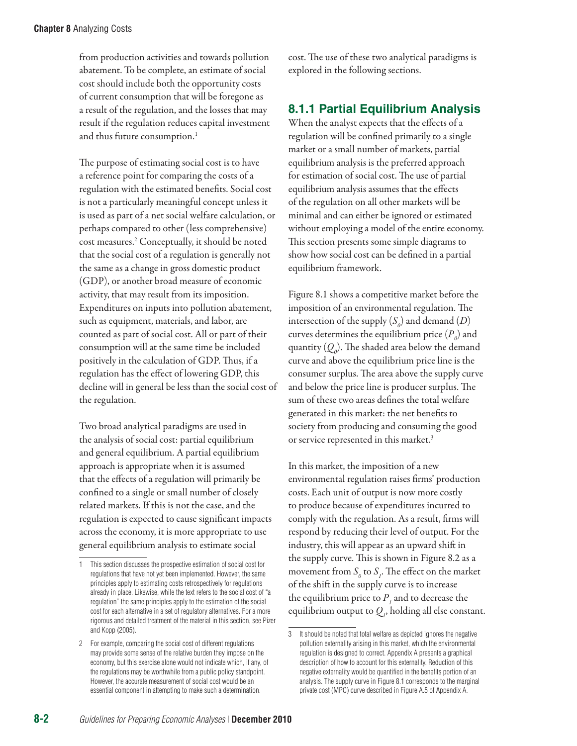from production activities and towards pollution abatement. To be complete, an estimate of social cost should include both the opportunity costs of current consumption that will be foregone as a result of the regulation, and the losses that may result if the regulation reduces capital investment and thus future consumption.<sup>1</sup>

The purpose of estimating social cost is to have a reference point for comparing the costs of a regulation with the estimated benefits. Social cost is not a particularly meaningful concept unless it is used as part of a net social welfare calculation, or perhaps compared to other (less comprehensive) cost measures.2 Conceptually, it should be noted that the social cost of a regulation is generally not the same as a change in gross domestic product (GDP), or another broad measure of economic activity, that may result from its imposition. Expenditures on inputs into pollution abatement, such as equipment, materials, and labor, are counted as part of social cost. All or part of their consumption will at the same time be included positively in the calculation of GDP. Thus, if a regulation has the effect of lowering GDP, this decline will in general be less than the social cost of the regulation.

Two broad analytical paradigms are used in the analysis of social cost: partial equilibrium and general equilibrium. A partial equilibrium approach is appropriate when it is assumed that the effects of a regulation will primarily be confined to a single or small number of closely related markets. If this is not the case, and the regulation is expected to cause significant impacts across the economy, it is more appropriate to use general equilibrium analysis to estimate social

cost. The use of these two analytical paradigms is explored in the following sections.

## **8.1.1 Partial Equilibrium Analysis**

When the analyst expects that the effects of a regulation will be confined primarily to a single market or a small number of markets, partial equilibrium analysis is the preferred approach for estimation of social cost. The use of partial equilibrium analysis assumes that the effects of the regulation on all other markets will be minimal and can either be ignored or estimated without employing a model of the entire economy. This section presents some simple diagrams to show how social cost can be defined in a partial equilibrium framework.

Figure 8.1 shows a competitive market before the imposition of an environmental regulation. The intersection of the supply  $(S_o)$  and demand  $(D)$ curves determines the equilibrium price  $(P_o)$  and quantity  $(Q_{\scriptscriptstyle \theta})$ . The shaded area below the demand curve and above the equilibrium price line is the consumer surplus. The area above the supply curve and below the price line is producer surplus. The sum of these two areas defines the total welfare generated in this market: the net benefits to society from producing and consuming the good or service represented in this market.<sup>3</sup>

In this market, the imposition of a new environmental regulation raises firms' production costs. Each unit of output is now more costly to produce because of expenditures incurred to comply with the regulation. As a result, firms will respond by reducing their level of output. For the industry, this will appear as an upward shift in the supply curve. This is shown in Figure 8.2 as a movement from  $S$ <sub>0</sub> to  $S$ <sub>1</sub>. The effect on the market of the shift in the supply curve is to increase the equilibrium price to  $P_{I}$  and to decrease the equilibrium output to  $Q_i$ , holding all else constant.

<sup>1</sup> This section discusses the prospective estimation of social cost for regulations that have not yet been implemented. However, the same principles apply to estimating costs retrospectively for regulations already in place. Likewise, while the text refers to the social cost of "a regulation" the same principles apply to the estimation of the social cost for each alternative in a set of regulatory alternatives. For a more rigorous and detailed treatment of the material in this section, see Pizer and Kopp (2005).

<sup>2</sup> For example, comparing the social cost of different regulations may provide some sense of the relative burden they impose on the economy, but this exercise alone would not indicate which, if any, of the regulations may be worthwhile from a public policy standpoint. However, the accurate measurement of social cost would be an essential component in attempting to make such a determination.

<sup>3</sup> It should be noted that total welfare as depicted ignores the negative pollution externality arising in this market, which the environmental regulation is designed to correct. Appendix A presents a graphical description of how to account for this externality. Reduction of this negative externality would be quantified in the benefits portion of an analysis. The supply curve in Figure 8.1 corresponds to the marginal private cost (MPC) curve described in Figure A.5 of Appendix A.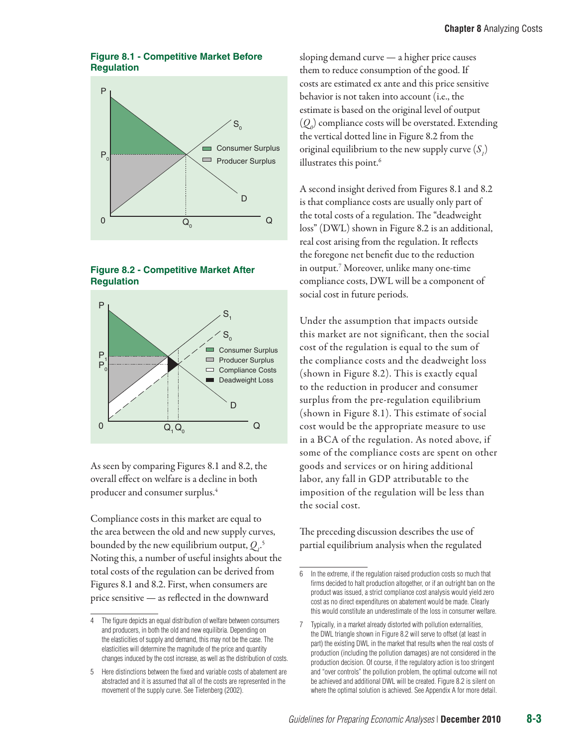#### **Figure 8.1 - Competitive Market Before Regulation**







As seen by comparing Figures 8.1 and 8.2, the overall effect on welfare is a decline in both producer and consumer surplus.4

Compliance costs in this market are equal to the area between the old and new supply curves, bounded by the new equilibrium output,  $Q_i$ <sup>5</sup> Noting this, a number of useful insights about the total costs of the regulation can be derived from Figures 8.1 and 8.2. First, when consumers are price sensitive — as reflected in the downward

sloping demand curve — a higher price causes them to reduce consumption of the good. If costs are estimated ex ante and this price sensitive behavior is not taken into account (i.e., the estimate is based on the original level of output  $(Q_{\rho})$  compliance costs will be overstated. Extending the vertical dotted line in Figure 8.2 from the original equilibrium to the new supply curve  $(S_{j})$ illustrates this point.<sup>6</sup>

A second insight derived from Figures 8.1 and 8.2 is that compliance costs are usually only part of the total costs of a regulation. The "deadweight loss" (DWL) shown in Figure 8.2 is an additional, real cost arising from the regulation. It reflects the foregone net benefit due to the reduction in output.7 Moreover, unlike many one-time compliance costs, DWL will be a component of social cost in future periods.

Under the assumption that impacts outside this market are not significant, then the social cost of the regulation is equal to the sum of the compliance costs and the deadweight loss (shown in Figure 8.2). This is exactly equal to the reduction in producer and consumer surplus from the pre-regulation equilibrium (shown in Figure 8.1). This estimate of social cost would be the appropriate measure to use in a BCA of the regulation. As noted above, if some of the compliance costs are spent on other goods and services or on hiring additional labor, any fall in GDP attributable to the imposition of the regulation will be less than the social cost.

The preceding discussion describes the use of partial equilibrium analysis when the regulated

<sup>4</sup> The figure depicts an equal distribution of welfare between consumers and producers, in both the old and new equilibria. Depending on the elasticities of supply and demand, this may not be the case. The elasticities will determine the magnitude of the price and quantity changes induced by the cost increase, as well as the distribution of costs.

<sup>5</sup> Here distinctions between the fixed and variable costs of abatement are abstracted and it is assumed that all of the costs are represented in the movement of the supply curve. See Tietenberg (2002).

<sup>6</sup> In the extreme, if the regulation raised production costs so much that firms decided to halt production altogether, or if an outright ban on the product was issued, a strict compliance cost analysis would yield zero cost as no direct expenditures on abatement would be made. Clearly this would constitute an underestimate of the loss in consumer welfare.

<sup>7</sup> Typically, in a market already distorted with pollution externalities, the DWL triangle shown in Figure 8.2 will serve to offset (at least in part) the existing DWL in the market that results when the real costs of production (including the pollution damages) are not considered in the production decision. Of course, if the regulatory action is too stringent and "over controls" the pollution problem, the optimal outcome will not be achieved and additional DWL will be created. Figure 8.2 is silent on where the optimal solution is achieved. See Appendix A for more detail.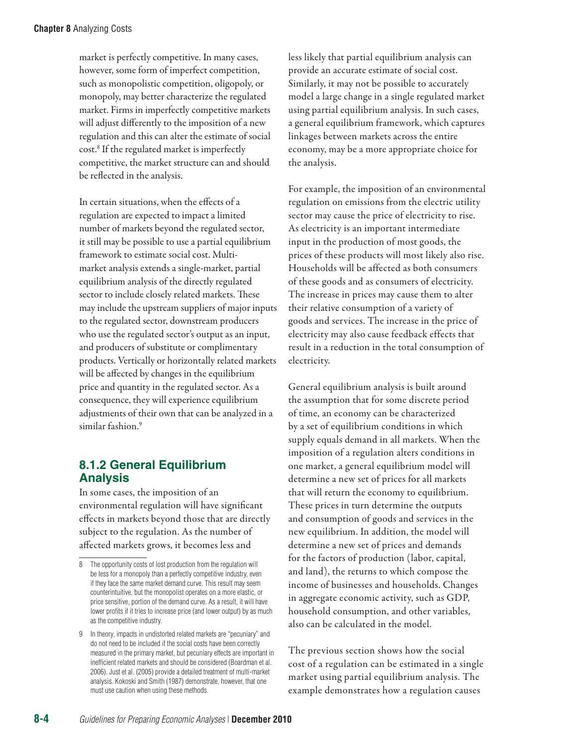market is perfectly competitive. In many cases, however, some form of imperfect competition, such as monopolistic competition, oligopoly, or monopoly, may better characterize the regulated market. Firms in imperfectly competitive markets will adjust differently to the imposition of a new regulation and this can alter the estimate of social cost.8 If the regulated market is imperfectly competitive, the market structure can and should be reflected in the analysis.

In certain situations, when the effects of a regulation are expected to impact a limited number of markets beyond the regulated sector, it still may be possible to use a partial equilibrium framework to estimate social cost. Multimarket analysis extends a single-market, partial equilibrium analysis of the directly regulated sector to include closely related markets. These may include the upstream suppliers of major inputs to the regulated sector, downstream producers who use the regulated sector's output as an input, and producers of substitute or complimentary products. Vertically or horizontally related markets will be affected by changes in the equilibrium price and quantity in the regulated sector. As a consequence, they will experience equilibrium adjustments of their own that can be analyzed in a similar fashion.<sup>9</sup>

# **8.1.2 General Equilibrium Analysis**

In some cases, the imposition of an environmental regulation will have significant effects in markets beyond those that are directly subject to the regulation. As the number of affected markets grows, it becomes less and

less likely that partial equilibrium analysis can provide an accurate estimate of social cost. Similarly, it may not be possible to accurately model a large change in a single regulated market using partial equilibrium analysis. In such cases, a general equilibrium framework, which captures linkages between markets across the entire economy, may be a more appropriate choice for the analysis.

For example, the imposition of an environmental regulation on emissions from the electric utility sector may cause the price of electricity to rise. As electricity is an important intermediate input in the production of most goods, the prices of these products will most likely also rise. Households will be affected as both consumers of these goods and as consumers of electricity. The increase in prices may cause them to alter their relative consumption of a variety of goods and services. The increase in the price of electricity may also cause feedback effects that result in a reduction in the total consumption of electricity.

General equilibrium analysis is built around the assumption that for some discrete period of time, an economy can be characterized by a set of equilibrium conditions in which supply equals demand in all markets. When the imposition of a regulation alters conditions in one market, a general equilibrium model will determine a new set of prices for all markets that will return the economy to equilibrium. These prices in turn determine the outputs and consumption of goods and services in the new equilibrium. In addition, the model will determine a new set of prices and demands for the factors of production (labor, capital, and land), the returns to which compose the income of businesses and households. Changes in aggregate economic activity, such as GDP, household consumption, and other variables, also can be calculated in the model.

The previous section shows how the social cost of a regulation can be estimated in a single market using partial equilibrium analysis. The example demonstrates how a regulation causes

<sup>8</sup> The opportunity costs of lost production from the regulation will be less for a monopoly than a perfectly competitive industry, even if they face the same market demand curve. This result may seem counterintuitive, but the monopolist operates on a more elastic, or price sensitive, portion of the demand curve. As a result, it will have lower profits if it tries to increase price (and lower output) by as much as the competitive industry.

<sup>9</sup> In theory, impacts in undistorted related markets are "pecuniary" and do not need to be included if the social costs have been correctly measured in the primary market, but pecuniary effects are important in inefficient related markets and should be considered (Boardman et al. 2006). Just et al. (2005) provide a detailed treatment of multi-market analysis. Kokoski and Smith (1987) demonstrate, however, that one must use caution when using these methods.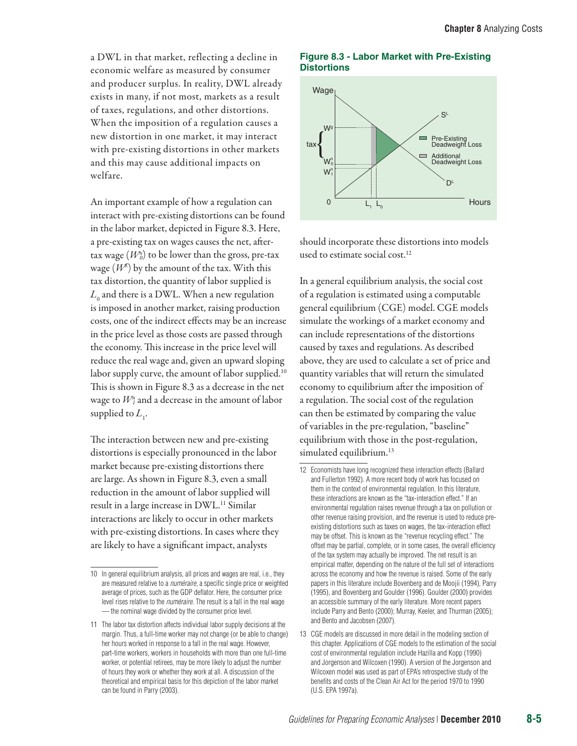a DWL in that market, reflecting a decline in economic welfare as measured by consumer and producer surplus. In reality, DWL already exists in many, if not most, markets as a result of taxes, regulations, and other distortions. When the imposition of a regulation causes a new distortion in one market, it may interact with pre-existing distortions in other markets and this may cause additional impacts on welfare.

An important example of how a regulation can interact with pre-existing distortions can be found in the labor market, depicted in Figure 8.3. Here, a pre-existing tax on wages causes the net, aftertax wage (*Wn <sup>0</sup>*) to be lower than the gross, pre-tax wage  $(W^g)$  by the amount of the tax. With this tax distortion, the quantity of labor supplied is  $L_{\rm 0}$  and there is a DWL. When a new regulation is imposed in another market, raising production costs, one of the indirect effects may be an increase in the price level as those costs are passed through the economy. This increase in the price level will reduce the real wage and, given an upward sloping labor supply curve, the amount of labor supplied.<sup>10</sup> This is shown in Figure 8.3 as a decrease in the net wage to  $W_{\mathit{I}}^n$  and a decrease in the amount of labor supplied to  $L_1$ .

The interaction between new and pre-existing distortions is especially pronounced in the labor market because pre-existing distortions there are large. As shown in Figure 8.3, even a small reduction in the amount of labor supplied will result in a large increase in DWL.<sup>11</sup> Similar interactions are likely to occur in other markets with pre-existing distortions. In cases where they are likely to have a significant impact, analysts

#### **Figure 8.3 - Labor Market with Pre-Existing Distortions**



should incorporate these distortions into models used to estimate social cost.<sup>12</sup>

In a general equilibrium analysis, the social cost of a regulation is estimated using a computable general equilibrium (CGE) model. CGE models simulate the workings of a market economy and can include representations of the distortions caused by taxes and regulations. As described above, they are used to calculate a set of price and quantity variables that will return the simulated economy to equilibrium after the imposition of a regulation. The social cost of the regulation can then be estimated by comparing the value of variables in the pre-regulation, "baseline" equilibrium with those in the post-regulation, simulated equilibrium.<sup>13</sup>

<sup>10</sup> In general equilibrium analysis, all prices and wages are real, i.e., they are measured relative to a *numéraire*, a specific single price or weighted average of prices, such as the GDP deflator. Here, the consumer price level rises relative to the *numéraire*. The result is a fall in the real wage — the nominal wage divided by the consumer price level.

<sup>11</sup> The labor tax distortion affects individual labor supply decisions at the margin. Thus, a full-time worker may not change (or be able to change) her hours worked in response to a fall in the real wage. However, part-time workers, workers in households with more than one full-time worker, or potential retirees, may be more likely to adjust the number of hours they work or whether they work at all. A discussion of the theoretical and empirical basis for this depiction of the labor market can be found in Parry (2003).

<sup>12</sup> Economists have long recognized these interaction effects (Ballard and Fullerton 1992). A more recent body of work has focused on them in the context of environmental regulation. In this literature, these interactions are known as the "tax-interaction effect." If an environmental regulation raises revenue through a tax on pollution or other revenue raising provision, and the revenue is used to reduce preexisting distortions such as taxes on wages, the tax-interaction effect may be offset. This is known as the "revenue recycling effect." The offset may be partial, complete, or in some cases, the overall efficiency of the tax system may actually be improved. The net result is an empirical matter, depending on the nature of the full set of interactions across the economy and how the revenue is raised. Some of the early papers in this literature include Bovenberg and de Moojii (1994), Parry (1995), and Bovenberg and Goulder (1996). Goulder (2000) provides an accessible summary of the early literature. More recent papers include Parry and Bento (2000); Murray, Keeler, and Thurman (2005); and Bento and Jacobsen (2007).

<sup>13</sup> CGE models are discussed in more detail in the modeling section of this chapter. Applications of CGE models to the estimation of the social cost of environmental regulation include Hazilla and Kopp (1990) and Jorgenson and Wilcoxen (1990). A version of the Jorgenson and Wilcoxen model was used as part of EPA's retrospective study of the benefits and costs of the Clean Air Act for the period 1970 to 1990 (U.S. EPA 1997a).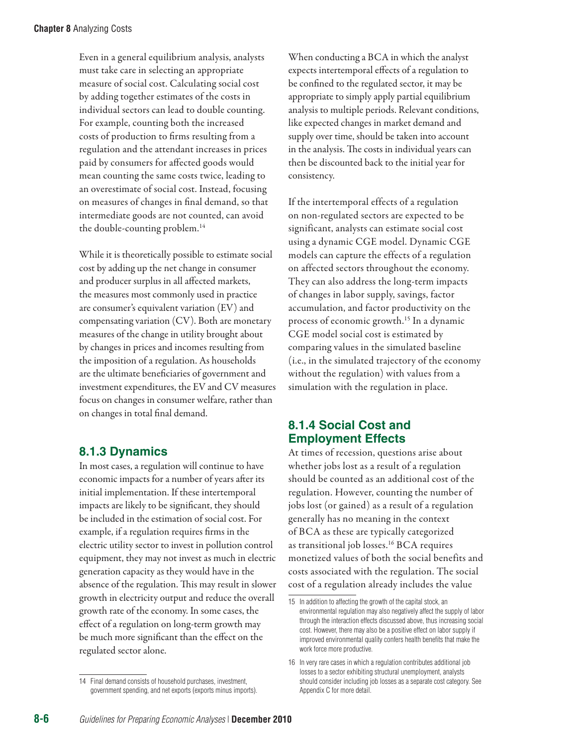Even in a general equilibrium analysis, analysts must take care in selecting an appropriate measure of social cost. Calculating social cost by adding together estimates of the costs in individual sectors can lead to double counting. For example, counting both the increased costs of production to firms resulting from a regulation and the attendant increases in prices paid by consumers for affected goods would mean counting the same costs twice, leading to an overestimate of social cost. Instead, focusing on measures of changes in final demand, so that intermediate goods are not counted, can avoid the double-counting problem.<sup>14</sup>

While it is theoretically possible to estimate social cost by adding up the net change in consumer and producer surplus in all affected markets, the measures most commonly used in practice are consumer's equivalent variation (EV) and compensating variation (CV). Both are monetary measures of the change in utility brought about by changes in prices and incomes resulting from the imposition of a regulation. As households are the ultimate beneficiaries of government and investment expenditures, the EV and CV measures focus on changes in consumer welfare, rather than on changes in total final demand.

# **8.1.3 Dynamics**

In most cases, a regulation will continue to have economic impacts for a number of years after its initial implementation. If these intertemporal impacts are likely to be significant, they should be included in the estimation of social cost. For example, if a regulation requires firms in the electric utility sector to invest in pollution control equipment, they may not invest as much in electric generation capacity as they would have in the absence of the regulation. This may result in slower growth in electricity output and reduce the overall growth rate of the economy. In some cases, the effect of a regulation on long-term growth may be much more significant than the effect on the regulated sector alone.

14 Final demand consists of household purchases, investment, government spending, and net exports (exports minus imports). When conducting a BCA in which the analyst expects intertemporal effects of a regulation to be confined to the regulated sector, it may be appropriate to simply apply partial equilibrium analysis to multiple periods. Relevant conditions, like expected changes in market demand and supply over time, should be taken into account in the analysis. The costs in individual years can then be discounted back to the initial year for consistency.

If the intertemporal effects of a regulation on non-regulated sectors are expected to be significant, analysts can estimate social cost using a dynamic CGE model. Dynamic CGE models can capture the effects of a regulation on affected sectors throughout the economy. They can also address the long-term impacts of changes in labor supply, savings, factor accumulation, and factor productivity on the process of economic growth.15 In a dynamic CGE model social cost is estimated by comparing values in the simulated baseline (i.e., in the simulated trajectory of the economy without the regulation) with values from a simulation with the regulation in place.

## **8.1.4 Social Cost and Employment Effects**

At times of recession, questions arise about whether jobs lost as a result of a regulation should be counted as an additional cost of the regulation. However, counting the number of jobs lost (or gained) as a result of a regulation generally has no meaning in the context of BCA as these are typically categorized as transitional job losses.<sup>16</sup> BCA requires monetized values of both the social benefits and costs associated with the regulation. The social cost of a regulation already includes the value

<sup>15</sup> In addition to affecting the growth of the capital stock, an environmental regulation may also negatively affect the supply of labor through the interaction effects discussed above, thus increasing social cost. However, there may also be a positive effect on labor supply if improved environmental quality confers health benefits that make the work force more productive.

<sup>16</sup> In very rare cases in which a regulation contributes additional job losses to a sector exhibiting structural unemployment, analysts should consider including job losses as a separate cost category. See Appendix C for more detail.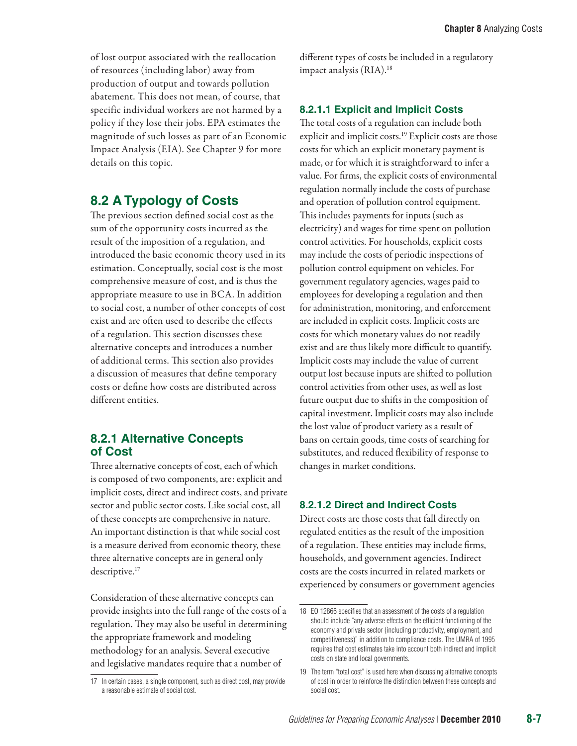of lost output associated with the reallocation of resources (including labor) away from production of output and towards pollution abatement. This does not mean, of course, that specific individual workers are not harmed by a policy if they lose their jobs. EPA estimates the magnitude of such losses as part of an Economic Impact Analysis (EIA). See Chapter 9 for more details on this topic.

# **8.2 A Typology of Costs**

The previous section defined social cost as the sum of the opportunity costs incurred as the result of the imposition of a regulation, and introduced the basic economic theory used in its estimation. Conceptually, social cost is the most comprehensive measure of cost, and is thus the appropriate measure to use in BCA. In addition to social cost, a number of other concepts of cost exist and are often used to describe the effects of a regulation. This section discusses these alternative concepts and introduces a number of additional terms. This section also provides a discussion of measures that define temporary costs or define how costs are distributed across different entities.

## **8.2.1 Alternative Concepts of Cost**

Three alternative concepts of cost, each of which is composed of two components, are: explicit and implicit costs, direct and indirect costs, and private sector and public sector costs. Like social cost, all of these concepts are comprehensive in nature. An important distinction is that while social cost is a measure derived from economic theory, these three alternative concepts are in general only descriptive.<sup>17</sup>

Consideration of these alternative concepts can provide insights into the full range of the costs of a regulation. They may also be useful in determining the appropriate framework and modeling methodology for an analysis. Several executive and legislative mandates require that a number of

different types of costs be included in a regulatory impact analysis (RIA).18

## **8.2.1.1 Explicit and Implicit Costs**

The total costs of a regulation can include both explicit and implicit costs. 19 Explicit costs are those costs for which an explicit monetary payment is made, or for which it is straightforward to infer a value. For firms, the explicit costs of environmental regulation normally include the costs of purchase and operation of pollution control equipment. This includes payments for inputs (such as electricity) and wages for time spent on pollution control activities. For households, explicit costs may include the costs of periodic inspections of pollution control equipment on vehicles. For government regulatory agencies, wages paid to employees for developing a regulation and then for administration, monitoring, and enforcement are included in explicit costs. Implicit costs are costs for which monetary values do not readily exist and are thus likely more difficult to quantify. Implicit costs may include the value of current output lost because inputs are shifted to pollution control activities from other uses, as well as lost future output due to shifts in the composition of capital investment. Implicit costs may also include the lost value of product variety as a result of bans on certain goods, time costs of searching for substitutes, and reduced flexibility of response to changes in market conditions.

## **8.2.1.2 Direct and Indirect Costs**

Direct costs are those costs that fall directly on regulated entities as the result of the imposition of a regulation. These entities may include firms, households, and government agencies. Indirect costs are the costs incurred in related markets or experienced by consumers or government agencies

<sup>17</sup> In certain cases, a single component, such as direct cost, may provide a reasonable estimate of social cost.

<sup>18</sup> EO 12866 specifies that an assessment of the costs of a regulation should include "any adverse effects on the efficient functioning of the economy and private sector (including productivity, employment, and competitiveness)" in addition to compliance costs. The UMRA of 1995 requires that cost estimates take into account both indirect and implicit costs on state and local governments.

<sup>19</sup> The term "total cost" is used here when discussing alternative concepts of cost in order to reinforce the distinction between these concepts and social cost.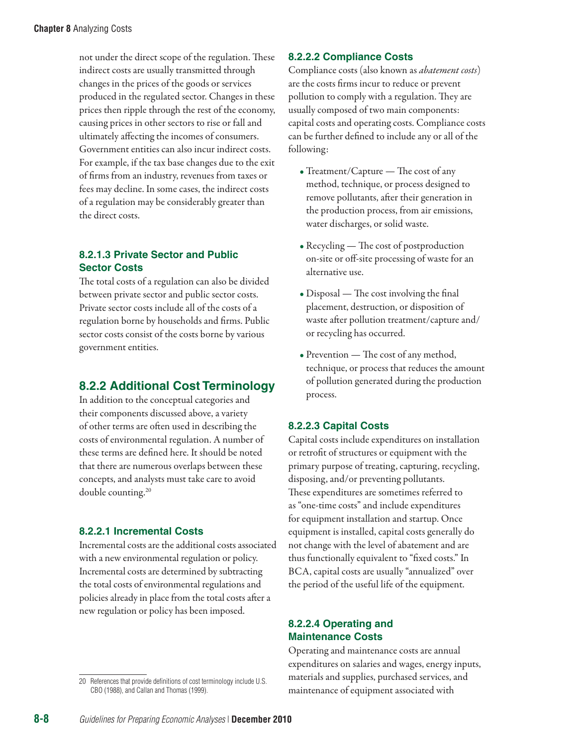not under the direct scope of the regulation. These indirect costs are usually transmitted through changes in the prices of the goods or services produced in the regulated sector. Changes in these prices then ripple through the rest of the economy, causing prices in other sectors to rise or fall and ultimately affecting the incomes of consumers. Government entities can also incur indirect costs. For example, if the tax base changes due to the exit of firms from an industry, revenues from taxes or fees may decline. In some cases, the indirect costs of a regulation may be considerably greater than the direct costs.

## **8.2.1.3 Private Sector and Public Sector Costs**

The total costs of a regulation can also be divided between private sector and public sector costs. Private sector costs include all of the costs of a regulation borne by households and firms. Public sector costs consist of the costs borne by various government entities.

## **8.2.2 Additional Cost Terminology**

In addition to the conceptual categories and their components discussed above, a variety of other terms are often used in describing the costs of environmental regulation. A number of these terms are defined here. It should be noted that there are numerous overlaps between these concepts, and analysts must take care to avoid double counting.20

#### **8.2.2.1 Incremental Costs**

Incremental costs are the additional costs associated with a new environmental regulation or policy. Incremental costs are determined by subtracting the total costs of environmental regulations and policies already in place from the total costs after a new regulation or policy has been imposed.

#### **8.2.2.2 Compliance Costs**

Compliance costs (also known as *abatement costs*) are the costs firms incur to reduce or prevent pollution to comply with a regulation. They are usually composed of two main components: capital costs and operating costs. Compliance costs can be further defined to include any or all of the following:

- Treatment/Capture The cost of any method, technique, or process designed to remove pollutants, after their generation in the production process, from air emissions, water discharges, or solid waste.
- Recycling The cost of postproduction on-site or off-site processing of waste for an alternative use.
- Disposal The cost involving the final placement, destruction, or disposition of waste after pollution treatment/capture and/ or recycling has occurred.
- Prevention The cost of any method, technique, or process that reduces the amount of pollution generated during the production process.

#### **8.2.2.3 Capital Costs**

Capital costs include expenditures on installation or retrofit of structures or equipment with the primary purpose of treating, capturing, recycling, disposing, and/or preventing pollutants. These expenditures are sometimes referred to as "one-time costs" and include expenditures for equipment installation and startup. Once equipment is installed, capital costs generally do not change with the level of abatement and are thus functionally equivalent to "fixed costs." In BCA, capital costs are usually "annualized" over the period of the useful life of the equipment.

#### **8.2.2.4 Operating and Maintenance Costs**

Operating and maintenance costs are annual expenditures on salaries and wages, energy inputs, materials and supplies, purchased services, and maintenance of equipment associated with

<sup>20</sup> References that provide definitions of cost terminology include U.S. CBO (1988), and Callan and Thomas (1999).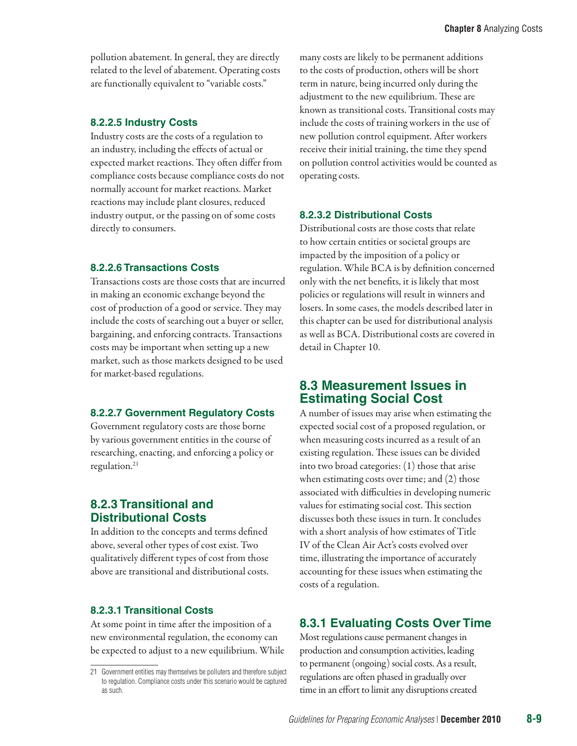pollution abatement. In general, they are directly related to the level of abatement. Operating costs are functionally equivalent to "variable costs."

#### **8.2.2.5 Industry Costs**

Industry costs are the costs of a regulation to an industry, including the effects of actual or expected market reactions. They often differ from compliance costs because compliance costs do not normally account for market reactions. Market reactions may include plant closures, reduced industry output, or the passing on of some costs directly to consumers.

#### **8.2.2.6 Transactions Costs**

Transactions costs are those costs that are incurred in making an economic exchange beyond the cost of production of a good or service. They may include the costs of searching out a buyer or seller, bargaining, and enforcing contracts. Transactions costs may be important when setting up a new market, such as those markets designed to be used for market-based regulations.

#### **8.2.2.7 Government Regulatory Costs**

Government regulatory costs are those borne by various government entities in the course of researching, enacting, and enforcing a policy or regulation.<sup>21</sup>

## **8.2.3 Transitional and Distributional Costs**

In addition to the concepts and terms defined above, several other types of cost exist. Two qualitatively different types of cost from those above are transitional and distributional costs.

#### **8.2.3.1 Transitional Costs**

At some point in time after the imposition of a new environmental regulation, the economy can be expected to adjust to a new equilibrium. While many costs are likely to be permanent additions to the costs of production, others will be short term in nature, being incurred only during the adjustment to the new equilibrium. These are known as transitional costs. Transitional costs may include the costs of training workers in the use of new pollution control equipment. After workers receive their initial training, the time they spend on pollution control activities would be counted as operating costs.

#### **8.2.3.2 Distributional Costs**

Distributional costs are those costs that relate to how certain entities or societal groups are impacted by the imposition of a policy or regulation. While BCA is by definition concerned only with the net benefits, it is likely that most policies or regulations will result in winners and losers. In some cases, the models described later in this chapter can be used for distributional analysis as well as BCA. Distributional costs are covered in detail in Chapter 10.

## **8.3 Measurement Issues in Estimating Social Cost**

A number of issues may arise when estimating the expected social cost of a proposed regulation, or when measuring costs incurred as a result of an existing regulation. These issues can be divided into two broad categories: (1) those that arise when estimating costs over time; and (2) those associated with difficulties in developing numeric values for estimating social cost. This section discusses both these issues in turn. It concludes with a short analysis of how estimates of Title IV of the Clean Air Act's costs evolved over time, illustrating the importance of accurately accounting for these issues when estimating the costs of a regulation.

# **8.3.1 Evaluating Costs Over Time**

Most regulations cause permanent changes in production and consumption activities, leading to permanent (ongoing) social costs. As a result, regulations are often phased in gradually over time in an effort to limit any disruptions created

<sup>21</sup> Government entities may themselves be polluters and therefore subject to regulation. Compliance costs under this scenario would be captured as such.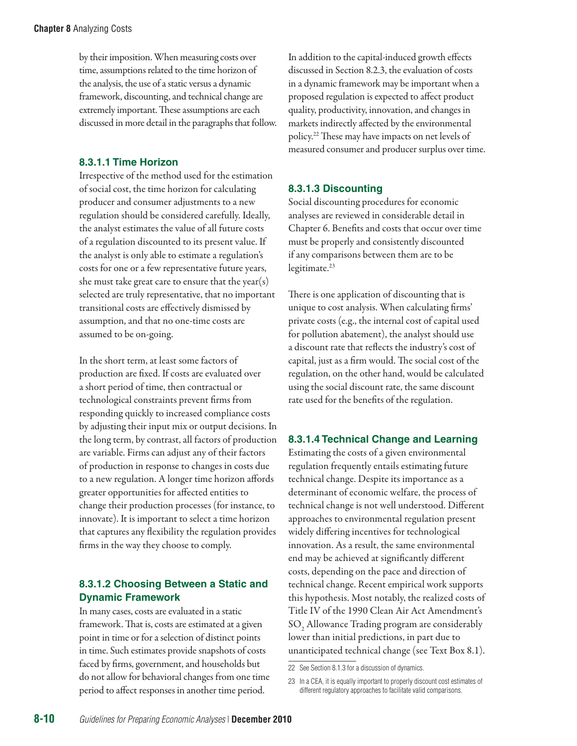by their imposition. When measuring costs over time, assumptions related to the time horizon of the analysis, the use of a static versus a dynamic framework, discounting, and technical change are extremely important. These assumptions are each discussed in more detail in the paragraphs that follow.

## **8.3.1.1 Time Horizon**

Irrespective of the method used for the estimation of social cost, the time horizon for calculating producer and consumer adjustments to a new regulation should be considered carefully. Ideally, the analyst estimates the value of all future costs of a regulation discounted to its present value. If the analyst is only able to estimate a regulation's costs for one or a few representative future years, she must take great care to ensure that the year(s) selected are truly representative, that no important transitional costs are effectively dismissed by assumption, and that no one-time costs are assumed to be on-going.

In the short term, at least some factors of production are fixed. If costs are evaluated over a short period of time, then contractual or technological constraints prevent firms from responding quickly to increased compliance costs by adjusting their input mix or output decisions. In the long term, by contrast, all factors of production are variable. Firms can adjust any of their factors of production in response to changes in costs due to a new regulation. A longer time horizon affords greater opportunities for affected entities to change their production processes (for instance, to innovate). It is important to select a time horizon that captures any flexibility the regulation provides firms in the way they choose to comply.

## **8.3.1.2 Choosing Between a Static and Dynamic Framework**

In many cases, costs are evaluated in a static framework. That is, costs are estimated at a given point in time or for a selection of distinct points in time. Such estimates provide snapshots of costs faced by firms, government, and households but do not allow for behavioral changes from one time period to affect responses in another time period.

In addition to the capital-induced growth effects discussed in Section 8.2.3, the evaluation of costs in a dynamic framework may be important when a proposed regulation is expected to affect product quality, productivity, innovation, and changes in markets indirectly affected by the environmental policy.22 These may have impacts on net levels of measured consumer and producer surplus over time.

## **8.3.1.3 Discounting**

Social discounting procedures for economic analyses are reviewed in considerable detail in Chapter 6. Benefits and costs that occur over time must be properly and consistently discounted if any comparisons between them are to be legitimate.<sup>23</sup>

There is one application of discounting that is unique to cost analysis. When calculating firms' private costs (e.g., the internal cost of capital used for pollution abatement), the analyst should use a discount rate that reflects the industry's cost of capital, just as a firm would. The social cost of the regulation, on the other hand, would be calculated using the social discount rate, the same discount rate used for the benefits of the regulation.

## **8.3.1.4 Technical Change and Learning**

Estimating the costs of a given environmental regulation frequently entails estimating future technical change. Despite its importance as a determinant of economic welfare, the process of technical change is not well understood. Different approaches to environmental regulation present widely differing incentives for technological innovation. As a result, the same environmental end may be achieved at significantly different costs, depending on the pace and direction of technical change. Recent empirical work supports this hypothesis. Most notably, the realized costs of Title IV of the 1990 Clean Air Act Amendment's  $\mathrm{SO}_2$  Allowance Trading program are considerably lower than initial predictions, in part due to unanticipated technical change (see Text Box 8.1).

<sup>22</sup> See Section 8.1.3 for a discussion of dynamics.

<sup>23</sup> In a CEA, it is equally important to properly discount cost estimates of different regulatory approaches to facilitate valid comparisons.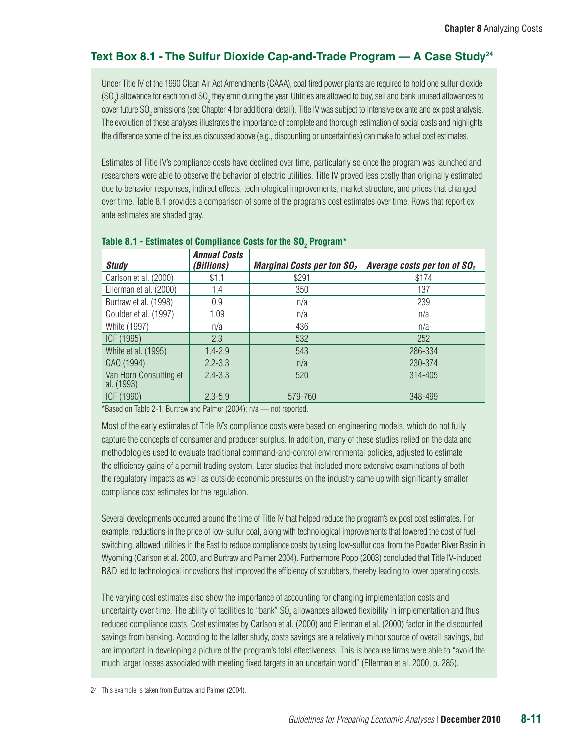## Text Box 8.1 - The Sulfur Dioxide Cap-and-Trade Program — A Case Study<sup>24</sup>

Under Title IV of the 1990 Clean Air Act Amendments (CAAA), coal fired power plants are required to hold one sulfur dioxide (SO<sub>2</sub>) allowance for each ton of SO<sub>2</sub> they emit during the year. Utilities are allowed to buy, sell and bank unused allowances to cover future SO<sub>2</sub> emissions (see Chapter 4 for additional detail). Title IV was subject to intensive ex ante and ex post analysis. The evolution of these analyses illustrates the importance of complete and thorough estimation of social costs and highlights the difference some of the issues discussed above (e.g., discounting or uncertainties) can make to actual cost estimates.

Estimates of Title IV's compliance costs have declined over time, particularly so once the program was launched and researchers were able to observe the behavior of electric utilities. Title IV proved less costly than originally estimated due to behavior responses, indirect effects, technological improvements, market structure, and prices that changed over time. Table 8.1 provides a comparison of some of the program's cost estimates over time. Rows that report ex ante estimates are shaded gray.

| <b>Study</b>                         | <b>Annual Costs</b><br>(Billions) | Marginal Costs per ton $SO2$ | Average costs per ton of $SO2$ |
|--------------------------------------|-----------------------------------|------------------------------|--------------------------------|
| Carlson et al. (2000)                | \$1.1                             | \$291                        | \$174                          |
| Ellerman et al. (2000)               | 1.4                               | 350                          | 137                            |
| Burtraw et al. (1998)                | 0.9                               | n/a                          | 239                            |
| Goulder et al. (1997)                | 1.09                              | n/a                          | n/a                            |
| White (1997)                         | n/a                               | 436                          | n/a                            |
| ICF (1995)                           | 2.3                               | 532                          | 252                            |
| White et al. (1995)                  | $1.4 - 2.9$                       | 543                          | 286-334                        |
| GAO (1994)                           | $2.2 - 3.3$                       | n/a                          | 230-374                        |
| Van Horn Consulting et<br>al. (1993) | $2.4 - 3.3$                       | 520                          | 314-405                        |
| ICF (1990)                           | $2.3 - 5.9$                       | 579-760                      | 348-499                        |

## Table 8.1 - Estimates of Compliance Costs for the SO<sub>2</sub> Program\*

\*Based on Table 2-1, Burtraw and Palmer (2004); n/a — not reported.

Most of the early estimates of Title IV's compliance costs were based on engineering models, which do not fully capture the concepts of consumer and producer surplus. In addition, many of these studies relied on the data and methodologies used to evaluate traditional command-and-control environmental policies, adjusted to estimate the efficiency gains of a permit trading system. Later studies that included more extensive examinations of both the regulatory impacts as well as outside economic pressures on the industry came up with significantly smaller compliance cost estimates for the regulation.

Several developments occurred around the time of Title IV that helped reduce the program's ex post cost estimates. For example, reductions in the price of low-sulfur coal, along with technological improvements that lowered the cost of fuel switching, allowed utilities in the East to reduce compliance costs by using low-sulfur coal from the Powder River Basin in Wyoming (Carlson et al. 2000, and Burtraw and Palmer 2004). Furthermore Popp (2003) concluded that Title IV-induced R&D led to technological innovations that improved the efficiency of scrubbers, thereby leading to lower operating costs.

The varying cost estimates also show the importance of accounting for changing implementation costs and uncertainty over time. The ability of facilities to "bank" SO<sub>2</sub> allowances allowed flexibility in implementation and thus reduced compliance costs. Cost estimates by Carlson et al. (2000) and Ellerman et al. (2000) factor in the discounted savings from banking. According to the latter study, costs savings are a relatively minor source of overall savings, but are important in developing a picture of the program's total effectiveness. This is because firms were able to "avoid the much larger losses associated with meeting fixed targets in an uncertain world" (Ellerman et al. 2000, p. 285).

<sup>24</sup> This example is taken from Burtraw and Palmer (2004).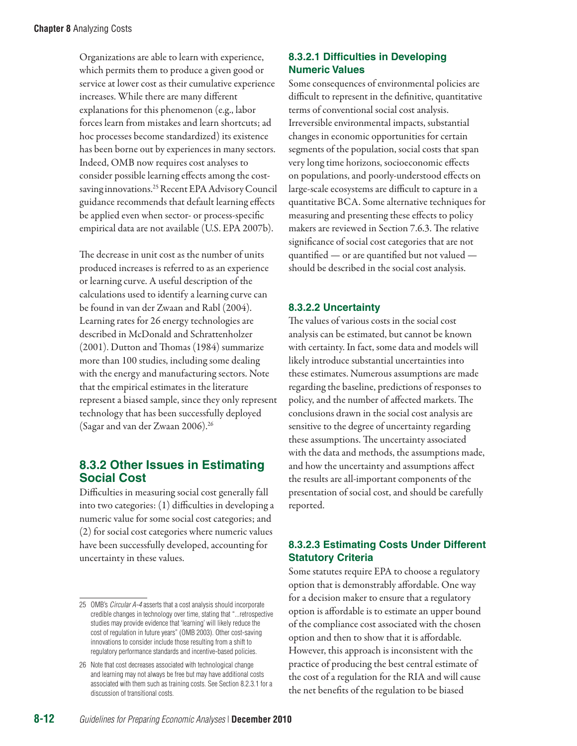Organizations are able to learn with experience, which permits them to produce a given good or service at lower cost as their cumulative experience increases. While there are many different explanations for this phenomenon (e.g., labor forces learn from mistakes and learn shortcuts; ad hoc processes become standardized) its existence has been borne out by experiences in many sectors. Indeed, OMB now requires cost analyses to consider possible learning effects among the costsaving innovations.<sup>25</sup> Recent EPA Advisory Council guidance recommends that default learning effects be applied even when sector- or process-specific empirical data are not available (U.S. EPA 2007b).

The decrease in unit cost as the number of units produced increases is referred to as an experience or learning curve. A useful description of the calculations used to identify a learning curve can be found in van der Zwaan and Rabl (2004). Learning rates for 26 energy technologies are described in McDonald and Schrattenholzer (2001). Dutton and Thomas (1984) summarize more than 100 studies, including some dealing with the energy and manufacturing sectors. Note that the empirical estimates in the literature represent a biased sample, since they only represent technology that has been successfully deployed (Sagar and van der Zwaan 2006).26

## **8.3.2 Other Issues in Estimating Social Cost**

Difficulties in measuring social cost generally fall into two categories: (1) difficulties in developing a numeric value for some social cost categories; and (2) for social cost categories where numeric values have been successfully developed, accounting for uncertainty in these values.

## **8.3.2.1 Difficulties in Developing Numeric Values**

Some consequences of environmental policies are difficult to represent in the definitive, quantitative terms of conventional social cost analysis. Irreversible environmental impacts, substantial changes in economic opportunities for certain segments of the population, social costs that span very long time horizons, socioeconomic effects on populations, and poorly-understood effects on large-scale ecosystems are difficult to capture in a quantitative BCA. Some alternative techniques for measuring and presenting these effects to policy makers are reviewed in Section 7.6.3. The relative significance of social cost categories that are not quantified — or are quantified but not valued should be described in the social cost analysis.

## **8.3.2.2 Uncertainty**

The values of various costs in the social cost analysis can be estimated, but cannot be known with certainty. In fact, some data and models will likely introduce substantial uncertainties into these estimates. Numerous assumptions are made regarding the baseline, predictions of responses to policy, and the number of affected markets. The conclusions drawn in the social cost analysis are sensitive to the degree of uncertainty regarding these assumptions. The uncertainty associated with the data and methods, the assumptions made, and how the uncertainty and assumptions affect the results are all-important components of the presentation of social cost, and should be carefully reported.

## **8.3.2.3 Estimating Costs Under Different Statutory Criteria**

Some statutes require EPA to choose a regulatory option that is demonstrably affordable. One way for a decision maker to ensure that a regulatory option is affordable is to estimate an upper bound of the compliance cost associated with the chosen option and then to show that it is affordable. However, this approach is inconsistent with the practice of producing the best central estimate of the cost of a regulation for the RIA and will cause the net benefits of the regulation to be biased

<sup>25</sup> OMB's *Circular A-4* asserts that a cost analysis should incorporate credible changes in technology over time, stating that "...retrospective studies may provide evidence that 'learning' will likely reduce the cost of regulation in future years" (OMB 2003). Other cost-saving innovations to consider include those resulting from a shift to regulatory performance standards and incentive-based policies.

<sup>26</sup> Note that cost decreases associated with technological change and learning may not always be free but may have additional costs associated with them such as training costs. See Section 8.2.3.1 for a discussion of transitional costs.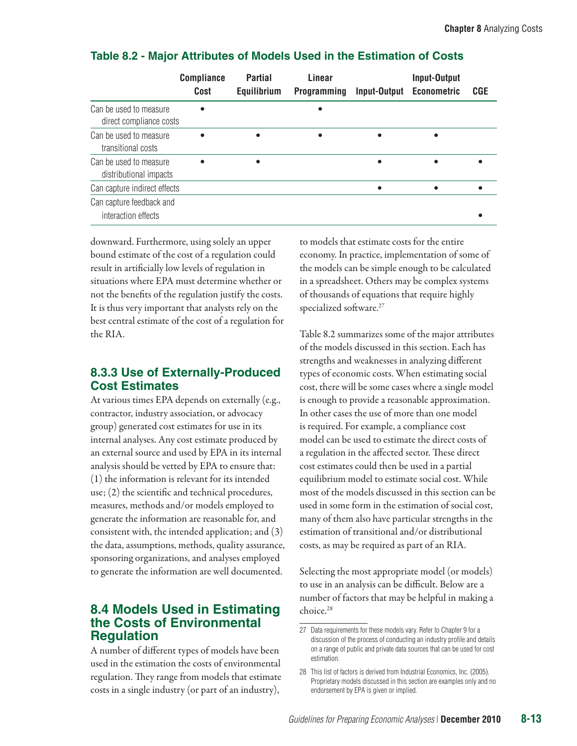| <b>Compliance</b>            | <b>Partial</b> | Linear             | <b>Input-Output</b> |                                           |
|------------------------------|----------------|--------------------|---------------------|-------------------------------------------|
| Cost                         |                | <b>Programming</b> |                     | <b>CGE</b>                                |
| direct compliance costs      |                |                    |                     |                                           |
|                              |                |                    |                     |                                           |
|                              |                |                    | $\bullet$           |                                           |
| Can capture indirect effects |                |                    |                     |                                           |
|                              |                |                    |                     |                                           |
|                              |                | Equilibrium        |                     | <b>Input-Output</b><br><b>Econometric</b> |

#### **Table 8.2 - Major Attributes of Models Used in the Estimation of Costs**

downward. Furthermore, using solely an upper bound estimate of the cost of a regulation could result in artificially low levels of regulation in situations where EPA must determine whether or not the benefits of the regulation justify the costs. It is thus very important that analysts rely on the best central estimate of the cost of a regulation for the RIA.

## **8.3.3 Use of Externally-Produced Cost Estimates**

At various times EPA depends on externally (e.g., contractor, industry association, or advocacy group) generated cost estimates for use in its internal analyses. Any cost estimate produced by an external source and used by EPA in its internal analysis should be vetted by EPA to ensure that: (1) the information is relevant for its intended use; (2) the scientific and technical procedures, measures, methods and/or models employed to generate the information are reasonable for, and consistent with, the intended application; and (3) the data, assumptions, methods, quality assurance, sponsoring organizations, and analyses employed to generate the information are well documented.

## **8.4 Models Used in Estimating the Costs of Environmental Regulation**

A number of different types of models have been used in the estimation the costs of environmental regulation. They range from models that estimate costs in a single industry (or part of an industry),

to models that estimate costs for the entire economy. In practice, implementation of some of the models can be simple enough to be calculated in a spreadsheet. Others may be complex systems of thousands of equations that require highly specialized software.<sup>27</sup>

Table 8.2 summarizes some of the major attributes of the models discussed in this section. Each has strengths and weaknesses in analyzing different types of economic costs. When estimating social cost, there will be some cases where a single model is enough to provide a reasonable approximation. In other cases the use of more than one model is required. For example, a compliance cost model can be used to estimate the direct costs of a regulation in the affected sector. These direct cost estimates could then be used in a partial equilibrium model to estimate social cost. While most of the models discussed in this section can be used in some form in the estimation of social cost, many of them also have particular strengths in the estimation of transitional and/or distributional costs, as may be required as part of an RIA.

Selecting the most appropriate model (or models) to use in an analysis can be difficult. Below are a number of factors that may be helpful in making a choice.28

<sup>27</sup> Data requirements for these models vary. Refer to Chapter 9 for a discussion of the process of conducting an industry profile and details on a range of public and private data sources that can be used for cost estimation.

<sup>28</sup> This list of factors is derived from Industrial Economics, Inc. (2005). Proprietary models discussed in this section are examples only and no endorsement by EPA is given or implied.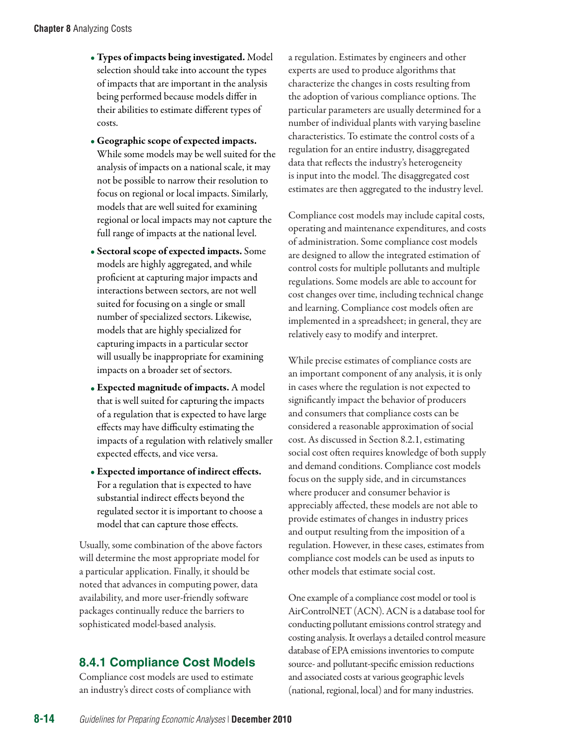- Types of impacts being investigated. Model selection should take into account the types of impacts that are important in the analysis being performed because models differ in their abilities to estimate different types of costs.
- Geographic scope of expected impacts. While some models may be well suited for the analysis of impacts on a national scale, it may not be possible to narrow their resolution to focus on regional or local impacts. Similarly, models that are well suited for examining regional or local impacts may not capture the full range of impacts at the national level.
- Sectoral scope of expected impacts. Some models are highly aggregated, and while proficient at capturing major impacts and interactions between sectors, are not well suited for focusing on a single or small number of specialized sectors. Likewise, models that are highly specialized for capturing impacts in a particular sector will usually be inappropriate for examining impacts on a broader set of sectors.
- Expected magnitude of impacts. A model that is well suited for capturing the impacts of a regulation that is expected to have large effects may have difficulty estimating the impacts of a regulation with relatively smaller expected effects, and vice versa.
- Expected importance of indirect effects. For a regulation that is expected to have substantial indirect effects beyond the regulated sector it is important to choose a model that can capture those effects.

Usually, some combination of the above factors will determine the most appropriate model for a particular application. Finally, it should be noted that advances in computing power, data availability, and more user-friendly software packages continually reduce the barriers to sophisticated model-based analysis.

# **8.4.1 Compliance Cost Models**

Compliance cost models are used to estimate an industry's direct costs of compliance with

a regulation. Estimates by engineers and other experts are used to produce algorithms that characterize the changes in costs resulting from the adoption of various compliance options. The particular parameters are usually determined for a number of individual plants with varying baseline characteristics. To estimate the control costs of a regulation for an entire industry, disaggregated data that reflects the industry's heterogeneity is input into the model. The disaggregated cost estimates are then aggregated to the industry level.

Compliance cost models may include capital costs, operating and maintenance expenditures, and costs of administration. Some compliance cost models are designed to allow the integrated estimation of control costs for multiple pollutants and multiple regulations. Some models are able to account for cost changes over time, including technical change and learning. Compliance cost models often are implemented in a spreadsheet; in general, they are relatively easy to modify and interpret.

While precise estimates of compliance costs are an important component of any analysis, it is only in cases where the regulation is not expected to significantly impact the behavior of producers and consumers that compliance costs can be considered a reasonable approximation of social cost. As discussed in Section 8.2.1, estimating social cost often requires knowledge of both supply and demand conditions. Compliance cost models focus on the supply side, and in circumstances where producer and consumer behavior is appreciably affected, these models are not able to provide estimates of changes in industry prices and output resulting from the imposition of a regulation. However, in these cases, estimates from compliance cost models can be used as inputs to other models that estimate social cost.

One example of a compliance cost model or tool is AirControlNET (ACN). ACN is a database tool for conducting pollutant emissions control strategy and costing analysis. It overlays a detailed control measure database of EPA emissions inventories to compute source- and pollutant-specific emission reductions and associated costs at various geographic levels (national, regional, local) and for many industries.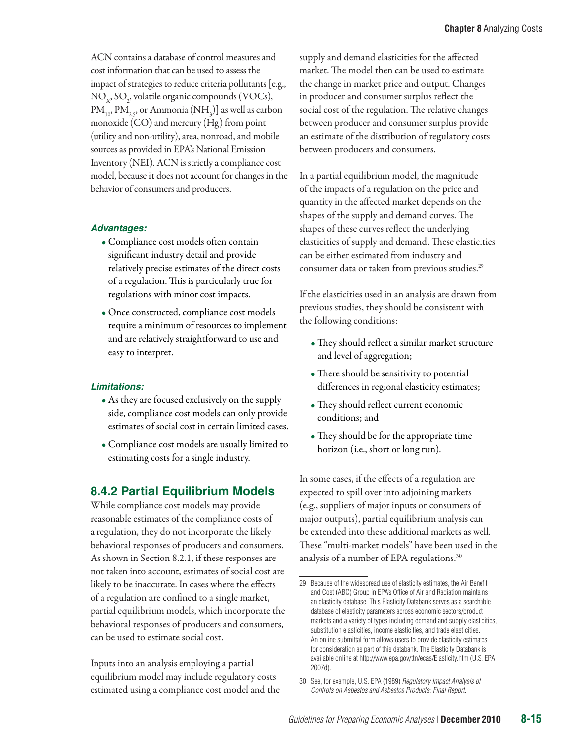ACN contains a database of control measures and cost information that can be used to assess the impact of strategies to reduce criteria pollutants [e.g.,  $NO_{x}$ ,  $SO_{2}$ , volatile organic compounds (VOCs),  $\text{PM}_{10}$ ,  $\text{PM}_{2.5}$ , or Ammonia (NH<sub>3</sub>)] as well as carbon monoxide (CO) and mercury (Hg) from point (utility and non-utility), area, nonroad, and mobile sources as provided in EPA's National Emission Inventory (NEI). ACN is strictly a compliance cost model, because it does not account for changes in the behavior of consumers and producers.

#### *Advantages:*

- Compliance cost models often contain significant industry detail and provide relatively precise estimates of the direct costs of a regulation. This is particularly true for regulations with minor cost impacts.
- Once constructed, compliance cost models require a minimum of resources to implement and are relatively straightforward to use and easy to interpret.

#### *Limitations:*

- As they are focused exclusively on the supply side, compliance cost models can only provide estimates of social cost in certain limited cases.
- Compliance cost models are usually limited to estimating costs for a single industry.

## **8.4.2 Partial Equilibrium Models**

While compliance cost models may provide reasonable estimates of the compliance costs of a regulation, they do not incorporate the likely behavioral responses of producers and consumers. As shown in Section 8.2.1, if these responses are not taken into account, estimates of social cost are likely to be inaccurate. In cases where the effects of a regulation are confined to a single market, partial equilibrium models, which incorporate the behavioral responses of producers and consumers, can be used to estimate social cost.

Inputs into an analysis employing a partial equilibrium model may include regulatory costs estimated using a compliance cost model and the supply and demand elasticities for the affected market. The model then can be used to estimate the change in market price and output. Changes in producer and consumer surplus reflect the social cost of the regulation. The relative changes between producer and consumer surplus provide an estimate of the distribution of regulatory costs between producers and consumers.

In a partial equilibrium model, the magnitude of the impacts of a regulation on the price and quantity in the affected market depends on the shapes of the supply and demand curves. The shapes of these curves reflect the underlying elasticities of supply and demand. These elasticities can be either estimated from industry and consumer data or taken from previous studies.29

If the elasticities used in an analysis are drawn from previous studies, they should be consistent with the following conditions:

- They should reflect a similar market structure and level of aggregation;
- There should be sensitivity to potential differences in regional elasticity estimates;
- They should reflect current economic conditions; and
- They should be for the appropriate time horizon (i.e., short or long run).

In some cases, if the effects of a regulation are expected to spill over into adjoining markets (e.g., suppliers of major inputs or consumers of major outputs), partial equilibrium analysis can be extended into these additional markets as well. These "multi-market models" have been used in the analysis of a number of EPA regulations.<sup>30</sup>

<sup>29</sup> Because of the widespread use of elasticity estimates, the Air Benefit and Cost (ABC) Group in EPA's Office of Air and Radiation maintains an elasticity database. This Elasticity Databank serves as a searchable database of elasticity parameters across economic sectors/product markets and a variety of types including demand and supply elasticities, substitution elasticities, income elasticities, and trade elasticities. An online submittal form allows users to provide elasticity estimates for consideration as part of this databank. The Elasticity Databank is available online [at http://www.epa.gov/ttn/ecas/Elasticity.h](http://www.epa.gov/ttn/ecas/Elasticity.htm)tm (U.S. EPA 2007d).

<sup>30</sup> See, for example, U.S. EPA (1989) *Regulatory Impact Analysis of Controls on Asbestos and Asbestos Products: Final Report.*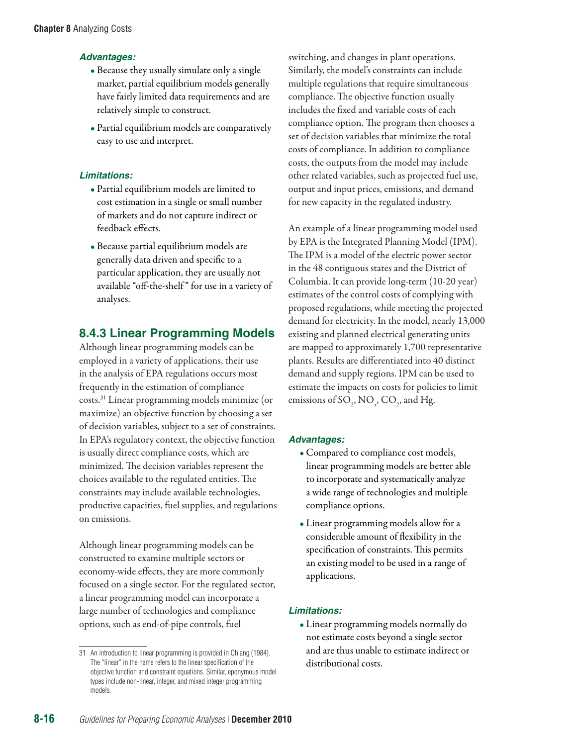#### *Advantages:*

- Because they usually simulate only a single market, partial equilibrium models generally have fairly limited data requirements and are relatively simple to construct.
- Partial equilibrium models are comparatively easy to use and interpret.

#### *Limitations:*

- Partial equilibrium models are limited to cost estimation in a single or small number of markets and do not capture indirect or feedback effects.
- Because partial equilibrium models are generally data driven and specific to a particular application, they are usually not available "off-the-shelf " for use in a variety of analyses.

# **8.4.3 Linear Programming Models**

Although linear programming models can be employed in a variety of applications, their use in the analysis of EPA regulations occurs most frequently in the estimation of compliance costs. 31 Linear programming models minimize (or maximize) an objective function by choosing a set of decision variables, subject to a set of constraints. In EPA's regulatory context, the objective function is usually direct compliance costs, which are minimized. The decision variables represent the choices available to the regulated entities. The constraints may include available technologies, productive capacities, fuel supplies, and regulations on emissions.

Although linear programming models can be constructed to examine multiple sectors or economy-wide effects, they are more commonly focused on a single sector. For the regulated sector, a linear programming model can incorporate a large number of technologies and compliance options, such as end-of-pipe controls, fuel

switching, and changes in plant operations. Similarly, the model's constraints can include multiple regulations that require simultaneous compliance. The objective function usually includes the fixed and variable costs of each compliance option. The program then chooses a set of decision variables that minimize the total costs of compliance. In addition to compliance costs, the outputs from the model may include other related variables, such as projected fuel use, output and input prices, emissions, and demand for new capacity in the regulated industry.

An example of a linear programming model used by EPA is the Integrated Planning Model (IPM). The IPM is a model of the electric power sector in the 48 contiguous states and the District of Columbia. It can provide long-term (10-20 year) estimates of the control costs of complying with proposed regulations, while meeting the projected demand for electricity. In the model, nearly 13,000 existing and planned electrical generating units are mapped to approximately 1,700 representative plants. Results are differentiated into 40 distinct demand and supply regions. IPM can be used to estimate the impacts on costs for policies to limit emissions of SO<sub>2</sub>, NO<sub><sub>x</sub></sub>, CO<sub>2</sub>, and Hg.

#### *Advantages:*

- Compared to compliance cost models, linear programming models are better able to incorporate and systematically analyze a wide range of technologies and multiple compliance options.
- Linear programming models allow for a considerable amount of flexibility in the specification of constraints. This permits an existing model to be used in a range of applications.

#### *Limitations:*

• Linear programming models normally do not estimate costs beyond a single sector and are thus unable to estimate indirect or distributional costs.

<sup>31</sup> An introduction to linear programming is provided in Chiang (1984). The "linear" in the name refers to the linear specification of the objective function and constraint equations. Similar, eponymous model types include non-linear, integer, and mixed integer programming models.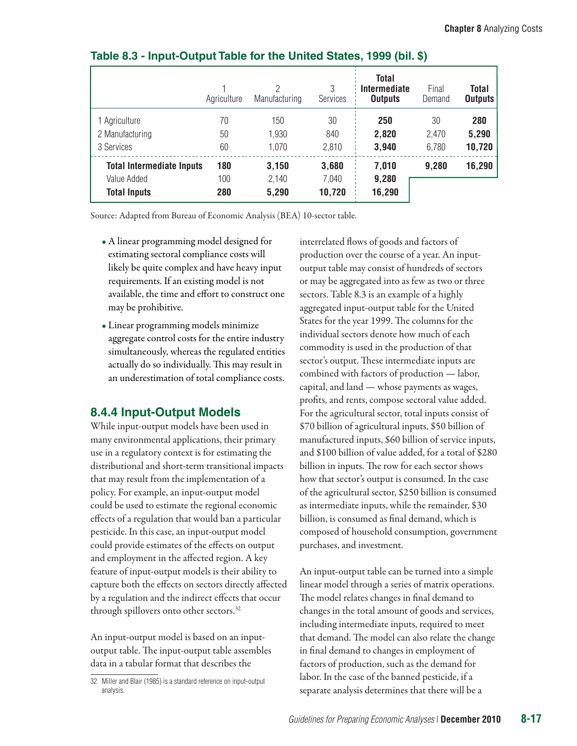|                                  | Agriculture | ∩<br>Manufacturing | 3<br><b>Services</b> | <b>Total</b><br>Intermediate<br><b>Outputs</b> | Final<br>Demand | <b>Total</b><br><b>Outputs</b> |
|----------------------------------|-------------|--------------------|----------------------|------------------------------------------------|-----------------|--------------------------------|
| 1 Agriculture                    | 70          | 150                | 30                   | 250                                            | 30              | 280                            |
| 2 Manufacturing                  | 50          | 1,930              | 840                  | 2,820                                          | 2,470           | 5,290                          |
| 3 Services                       | 60          | 1,070              | 2,810                | 3,940                                          | 6,780           | 10,720                         |
| <b>Total Intermediate Inputs</b> | 180         | 3,150              | 3,680                | 7,010                                          | 9,280           | 16,290                         |
| Value Added                      | 100         | 2,140              | 7,040                | 9,280                                          |                 |                                |
| <b>Total Inputs</b>              | 280         | 5,290              | 10,720               | 16,290                                         |                 |                                |

### **Table 8.3 - Input-Output Table for the United States, 1999 (bil. \$)**

Source: Adapted from Bureau of Economic Analysis (BEA) 10-sector table.

- A linear programming model designed for estimating sectoral compliance costs will likely be quite complex and have heavy input requirements. If an existing model is not available, the time and effort to construct one may be prohibitive.
- Linear programming models minimize aggregate control costs for the entire industry simultaneously, whereas the regulated entities actually do so individually. This may result in an underestimation of total compliance costs.

# **8.4.4 Input-Output Models**

While input-output models have been used in many environmental applications, their primary use in a regulatory context is for estimating the distributional and short-term transitional impacts that may result from the implementation of a policy. For example, an input-output model could be used to estimate the regional economic effects of a regulation that would ban a particular pesticide. In this case, an input-output model could provide estimates of the effects on output and employment in the affected region. A key feature of input-output models is their ability to capture both the effects on sectors directly affected by a regulation and the indirect effects that occur through spillovers onto other sectors.<sup>32</sup>

An input-output model is based on an inputoutput table. The input-output table assembles data in a tabular format that describes the

32 Miller and Blair (1985) is a standard reference on input-output analysis.

interrelated flows of goods and factors of production over the course of a year. An inputoutput table may consist of hundreds of sectors or may be aggregated into as few as two or three sectors. Table 8.3 is an example of a highly aggregated input-output table for the United States for the year 1999. The columns for the individual sectors denote how much of each commodity is used in the production of that sector's output. These intermediate inputs are combined with factors of production — labor, capital, and land — whose payments as wages, profits, and rents, compose sectoral value added. For the agricultural sector, total inputs consist of \$70 billion of agricultural inputs, \$50 billion of manufactured inputs, \$60 billion of service inputs, and \$100 billion of value added, for a total of \$280 billion in inputs. The row for each sector shows how that sector's output is consumed. In the case of the agricultural sector, \$250 billion is consumed as intermediate inputs, while the remainder, \$30 billion, is consumed as final demand, which is composed of household consumption, government purchases, and investment.

An input-output table can be turned into a simple linear model through a series of matrix operations. The model relates changes in final demand to changes in the total amount of goods and services, including intermediate inputs, required to meet that demand. The model can also relate the change in final demand to changes in employment of factors of production, such as the demand for labor. In the case of the banned pesticide, if a separate analysis determines that there will be a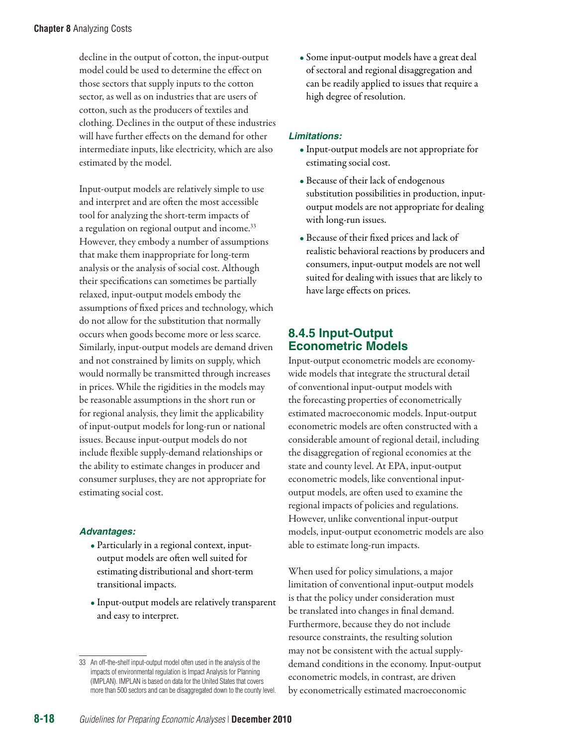decline in the output of cotton, the input-output model could be used to determine the effect on those sectors that supply inputs to the cotton sector, as well as on industries that are users of cotton, such as the producers of textiles and clothing. Declines in the output of these industries will have further effects on the demand for other intermediate inputs, like electricity, which are also estimated by the model.

Input-output models are relatively simple to use and interpret and are often the most accessible tool for analyzing the short-term impacts of a regulation on regional output and income.<sup>33</sup> However, they embody a number of assumptions that make them inappropriate for long-term analysis or the analysis of social cost. Although their specifications can sometimes be partially relaxed, input-output models embody the assumptions of fixed prices and technology, which do not allow for the substitution that normally occurs when goods become more or less scarce. Similarly, input-output models are demand driven and not constrained by limits on supply, which would normally be transmitted through increases in prices. While the rigidities in the models may be reasonable assumptions in the short run or for regional analysis, they limit the applicability of input-output models for long-run or national issues. Because input-output models do not include flexible supply-demand relationships or the ability to estimate changes in producer and consumer surpluses, they are not appropriate for estimating social cost.

#### *Advantages:*

- Particularly in a regional context, inputoutput models are often well suited for estimating distributional and short-term transitional impacts.
- Input-output models are relatively transparent and easy to interpret.

• Some input-output models have a great deal of sectoral and regional disaggregation and can be readily applied to issues that require a high degree of resolution.

#### *Limitations:*

- Input-output models are not appropriate for estimating social cost.
- Because of their lack of endogenous substitution possibilities in production, inputoutput models are not appropriate for dealing with long-run issues.
- Because of their fixed prices and lack of realistic behavioral reactions by producers and consumers, input-output models are not well suited for dealing with issues that are likely to have large effects on prices.

## **8.4.5 Input-Output Econometric Models**

Input-output econometric models are economywide models that integrate the structural detail of conventional input-output models with the forecasting properties of econometrically estimated macroeconomic models. Input-output econometric models are often constructed with a considerable amount of regional detail, including the disaggregation of regional economies at the state and county level. At EPA, input-output econometric models, like conventional inputoutput models, are often used to examine the regional impacts of policies and regulations. However, unlike conventional input-output models, input-output econometric models are also able to estimate long-run impacts.

When used for policy simulations, a major limitation of conventional input-output models is that the policy under consideration must be translated into changes in final demand. Furthermore, because they do not include resource constraints, the resulting solution may not be consistent with the actual supplydemand conditions in the economy. Input-output econometric models, in contrast, are driven by econometrically estimated macroeconomic

<sup>33</sup> An off-the-shelf input-output model often used in the analysis of the impacts of environmental regulation is Impact Analysis for Planning (IMPLAN). IMPLAN is based on data for the United States that covers more than 500 sectors and can be disaggregated down to the county level.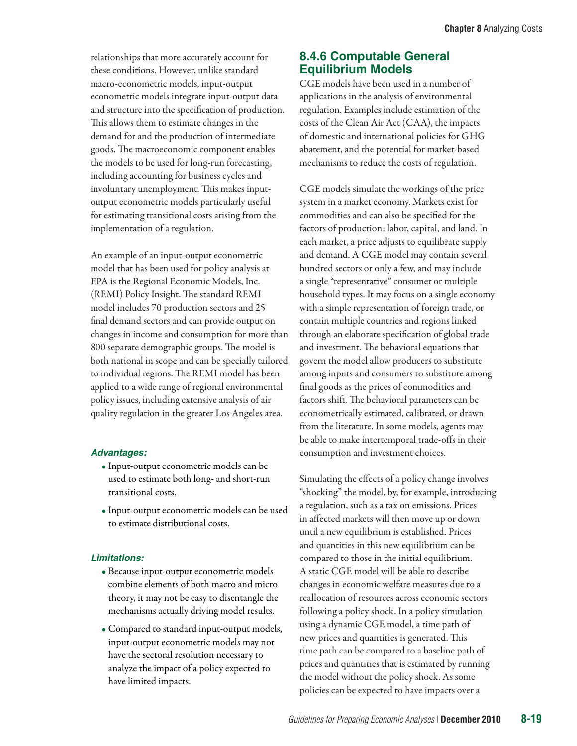relationships that more accurately account for these conditions. However, unlike standard macro-econometric models, input-output econometric models integrate input-output data and structure into the specification of production. This allows them to estimate changes in the demand for and the production of intermediate goods. The macroeconomic component enables the models to be used for long-run forecasting, including accounting for business cycles and involuntary unemployment. This makes inputoutput econometric models particularly useful for estimating transitional costs arising from the implementation of a regulation.

An example of an input-output econometric model that has been used for policy analysis at EPA is the Regional Economic Models, Inc. (REMI) Policy Insight. The standard REMI model includes 70 production sectors and 25 final demand sectors and can provide output on changes in income and consumption for more than 800 separate demographic groups. The model is both national in scope and can be specially tailored to individual regions. The REMI model has been applied to a wide range of regional environmental policy issues, including extensive analysis of air quality regulation in the greater Los Angeles area.

#### *Advantages:*

- Input-output econometric models can be used to estimate both long- and short-run transitional costs.
- Input-output econometric models can be used to estimate distributional costs.

#### *Limitations:*

- Because input-output econometric models combine elements of both macro and micro theory, it may not be easy to disentangle the mechanisms actually driving model results.
- Compared to standard input-output models, input-output econometric models may not have the sectoral resolution necessary to analyze the impact of a policy expected to have limited impacts.

## **8.4.6 Computable General Equilibrium Models**

CGE models have been used in a number of applications in the analysis of environmental regulation. Examples include estimation of the costs of the Clean Air Act (CAA), the impacts of domestic and international policies for GHG abatement, and the potential for market-based mechanisms to reduce the costs of regulation.

CGE models simulate the workings of the price system in a market economy. Markets exist for commodities and can also be specified for the factors of production: labor, capital, and land. In each market, a price adjusts to equilibrate supply and demand. A CGE model may contain several hundred sectors or only a few, and may include a single "representative" consumer or multiple household types. It may focus on a single economy with a simple representation of foreign trade, or contain multiple countries and regions linked through an elaborate specification of global trade and investment. The behavioral equations that govern the model allow producers to substitute among inputs and consumers to substitute among final goods as the prices of commodities and factors shift. The behavioral parameters can be econometrically estimated, calibrated, or drawn from the literature. In some models, agents may be able to make intertemporal trade-offs in their consumption and investment choices.

Simulating the effects of a policy change involves "shocking" the model, by, for example, introducing a regulation, such as a tax on emissions. Prices in affected markets will then move up or down until a new equilibrium is established. Prices and quantities in this new equilibrium can be compared to those in the initial equilibrium. A static CGE model will be able to describe changes in economic welfare measures due to a reallocation of resources across economic sectors following a policy shock. In a policy simulation using a dynamic CGE model, a time path of new prices and quantities is generated. This time path can be compared to a baseline path of prices and quantities that is estimated by running the model without the policy shock. As some policies can be expected to have impacts over a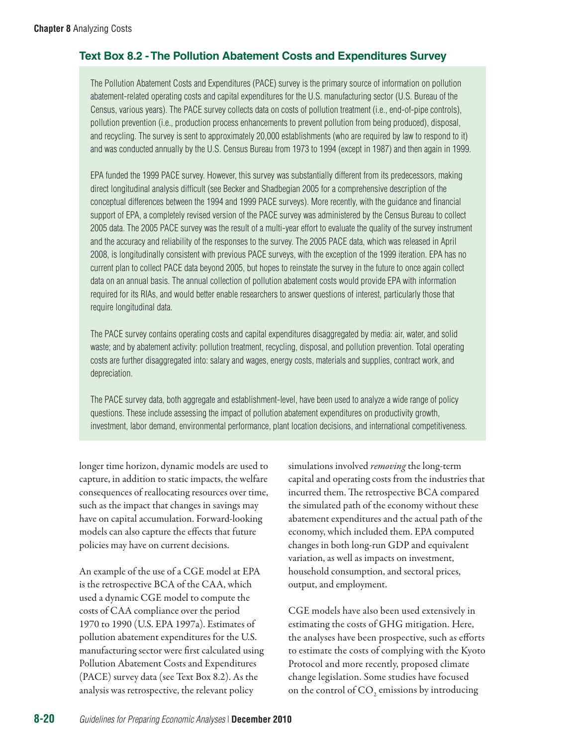## **Text Box 8.2 - The Pollution Abatement Costs and Expenditures Survey**

The Pollution Abatement Costs and Expenditures (PACE) survey is the primary source of information on pollution abatement-related operating costs and capital expenditures for the U.S. manufacturing sector (U.S. Bureau of the Census, various years). The PACE survey collects data on costs of pollution treatment (i.e., end-of-pipe controls), pollution prevention (i.e., production process enhancements to prevent pollution from being produced), disposal, and recycling. The survey is sent to approximately 20,000 establishments (who are required by law to respond to it) and was conducted annually by the U.S. Census Bureau from 1973 to 1994 (except in 1987) and then again in 1999.

EPA funded the 1999 PACE survey. However, this survey was substantially different from its predecessors, making direct longitudinal analysis difficult (see Becker and Shadbegian 2005 for a comprehensive description of the conceptual differences between the 1994 and 1999 PACE surveys). More recently, with the guidance and financial support of EPA, a completely revised version of the PACE survey was administered by the Census Bureau to collect 2005 data. The 2005 PACE survey was the result of a multi-year effort to evaluate the quality of the survey instrument and the accuracy and reliability of the responses to the survey. The 2005 PACE data, which was released in April 2008, is longitudinally consistent with previous PACE surveys, with the exception of the 1999 iteration. EPA has no current plan to collect PACE data beyond 2005, but hopes to reinstate the survey in the future to once again collect data on an annual basis. The annual collection of pollution abatement costs would provide EPA with information required for its RIAs, and would better enable researchers to answer questions of interest, particularly those that require longitudinal data.

The PACE survey contains operating costs and capital expenditures disaggregated by media: air, water, and solid waste; and by abatement activity: pollution treatment, recycling, disposal, and pollution prevention. Total operating costs are further disaggregated into: salary and wages, energy costs, materials and supplies, contract work, and depreciation.

The PACE survey data, both aggregate and establishment-level, have been used to analyze a wide range of policy questions. These include assessing the impact of pollution abatement expenditures on productivity growth, investment, labor demand, environmental performance, plant location decisions, and international competitiveness.

longer time horizon, dynamic models are used to capture, in addition to static impacts, the welfare consequences of reallocating resources over time, such as the impact that changes in savings may have on capital accumulation. Forward-looking models can also capture the effects that future policies may have on current decisions.

An example of the use of a CGE model at EPA is the retrospective BCA of the CAA, which used a dynamic CGE model to compute the costs of CAA compliance over the period 1970 to 1990 (U.S. EPA 1997a). Estimates of pollution abatement expenditures for the U.S. manufacturing sector were first calculated using Pollution Abatement Costs and Expenditures (PACE) survey data (see Text Box 8.2). As the analysis was retrospective, the relevant policy

simulations involved *removing* the long-term capital and operating costs from the industries that incurred them. The retrospective BCA compared the simulated path of the economy without these abatement expenditures and the actual path of the economy, which included them. EPA computed changes in both long-run GDP and equivalent variation, as well as impacts on investment, household consumption, and sectoral prices, output, and employment.

CGE models have also been used extensively in estimating the costs of GHG mitigation. Here, the analyses have been prospective, such as efforts to estimate the costs of complying with the Kyoto Protocol and more recently, proposed climate change legislation. Some studies have focused on the control of  $\mathrm{CO}_2$  emissions by introducing